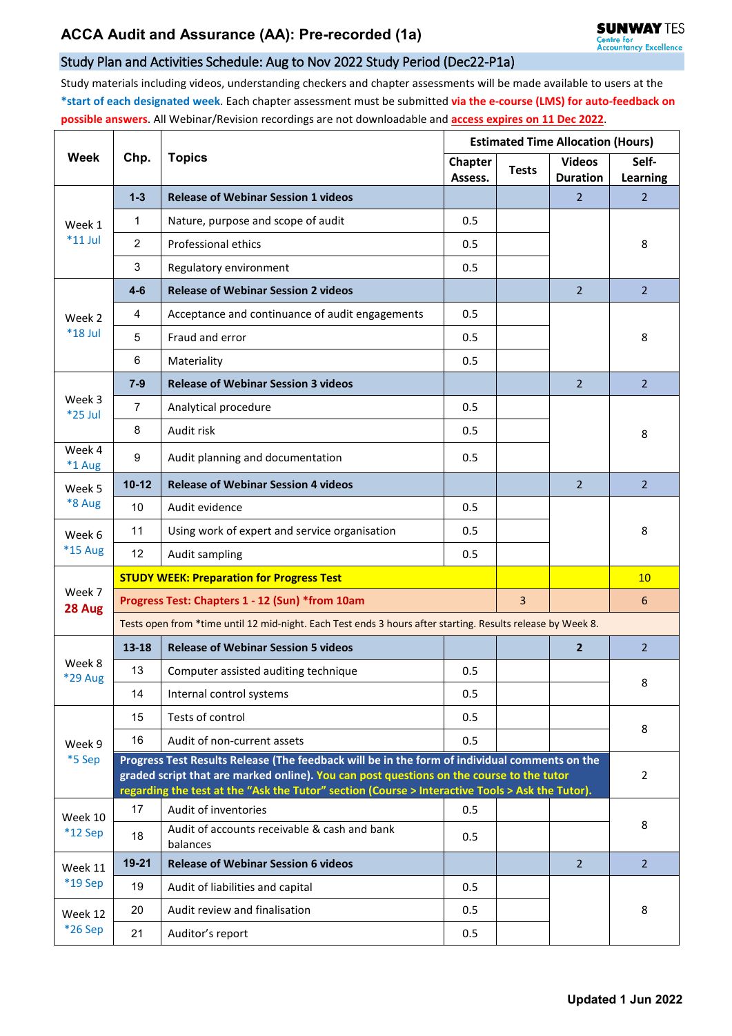## Study Plan and Activities Schedule: Aug to Nov 2022 Study Period (Dec22-P1a)

Study materials including videos, understanding checkers and chapter assessments will be made available to users at the **\*start of each designated week**. Each chapter assessment must be submitted **via the e-course (LMS) for auto-feedback on possible answers**. All Webinar/Revision recordings are not downloadable and **access expires on 11 Dec 2022**.

| Week                     | Chp.                                                                                                                                                                                        | <b>Topics</b>                                            | <b>Estimated Time Allocation (Hours)</b> |                |                                  |                          |  |  |
|--------------------------|---------------------------------------------------------------------------------------------------------------------------------------------------------------------------------------------|----------------------------------------------------------|------------------------------------------|----------------|----------------------------------|--------------------------|--|--|
|                          |                                                                                                                                                                                             |                                                          | <b>Chapter</b><br>Assess.                | <b>Tests</b>   | <b>Videos</b><br><b>Duration</b> | Self-<br><b>Learning</b> |  |  |
| Week 1<br>$*11$ Jul      | $1 - 3$                                                                                                                                                                                     | <b>Release of Webinar Session 1 videos</b>               |                                          |                | $\overline{2}$                   | $\overline{2}$           |  |  |
|                          | $\mathbf{1}$                                                                                                                                                                                | Nature, purpose and scope of audit                       | 0.5                                      |                |                                  |                          |  |  |
|                          | $\overline{2}$                                                                                                                                                                              | Professional ethics                                      | 0.5                                      |                |                                  | 8                        |  |  |
|                          | 3                                                                                                                                                                                           | Regulatory environment                                   | 0.5                                      |                |                                  |                          |  |  |
| Week 2<br>*18 Jul        | $4-6$                                                                                                                                                                                       | <b>Release of Webinar Session 2 videos</b>               |                                          |                | $\overline{2}$                   | $\overline{2}$           |  |  |
|                          | 4                                                                                                                                                                                           | Acceptance and continuance of audit engagements          | 0.5                                      |                |                                  | 8                        |  |  |
|                          | 5                                                                                                                                                                                           | Fraud and error                                          | 0.5                                      |                |                                  |                          |  |  |
|                          | 6                                                                                                                                                                                           | Materiality                                              | 0.5                                      |                |                                  |                          |  |  |
| Week 3<br>$*25$ Jul      | $7 - 9$                                                                                                                                                                                     | <b>Release of Webinar Session 3 videos</b>               |                                          |                | $\overline{2}$                   | $\overline{2}$           |  |  |
|                          | 7                                                                                                                                                                                           | Analytical procedure                                     | 0.5                                      |                |                                  | 8                        |  |  |
|                          | 8                                                                                                                                                                                           | Audit risk                                               | 0.5                                      |                |                                  |                          |  |  |
| Week 4<br>*1 Aug         | 9                                                                                                                                                                                           | Audit planning and documentation                         | 0.5                                      |                |                                  |                          |  |  |
| Week 5<br>*8 Aug         | $10 - 12$                                                                                                                                                                                   | <b>Release of Webinar Session 4 videos</b>               |                                          |                | $\overline{2}$                   | $\overline{2}$           |  |  |
|                          | 10                                                                                                                                                                                          | Audit evidence                                           | 0.5                                      |                |                                  |                          |  |  |
| Week 6<br><b>*15 Aug</b> | 11                                                                                                                                                                                          | Using work of expert and service organisation            | 0.5                                      |                |                                  | 8                        |  |  |
|                          | 12                                                                                                                                                                                          | Audit sampling                                           | 0.5                                      |                |                                  |                          |  |  |
| Week 7<br>28 Aug         | <b>STUDY WEEK: Preparation for Progress Test</b>                                                                                                                                            |                                                          |                                          |                |                                  | 10                       |  |  |
|                          | Progress Test: Chapters 1 - 12 (Sun) *from 10am                                                                                                                                             |                                                          |                                          | $\overline{3}$ |                                  | 6                        |  |  |
|                          | Tests open from *time until 12 mid-night. Each Test ends 3 hours after starting. Results release by Week 8.                                                                                 |                                                          |                                          |                |                                  |                          |  |  |
|                          | 13-18                                                                                                                                                                                       | <b>Release of Webinar Session 5 videos</b>               |                                          |                | $\overline{2}$                   | $\overline{2}$           |  |  |
| Week 8<br><b>*29 Aug</b> | 13                                                                                                                                                                                          | Computer assisted auditing technique                     | 0.5                                      |                |                                  | 8                        |  |  |
|                          | 14                                                                                                                                                                                          | Internal control systems                                 | 0.5                                      |                |                                  |                          |  |  |
| Week 9<br>*5 Sep         | 15                                                                                                                                                                                          | Tests of control                                         | 0.5                                      |                |                                  | 8                        |  |  |
|                          | 16                                                                                                                                                                                          | Audit of non-current assets                              | 0.5                                      |                |                                  |                          |  |  |
|                          | Progress Test Results Release (The feedback will be in the form of individual comments on the                                                                                               |                                                          |                                          |                |                                  |                          |  |  |
|                          | graded script that are marked online). You can post questions on the course to the tutor<br>regarding the test at the "Ask the Tutor" section (Course > Interactive Tools > Ask the Tutor). |                                                          |                                          |                |                                  |                          |  |  |
| Week 10                  | 17                                                                                                                                                                                          | Audit of inventories                                     | 0.5                                      |                |                                  | 8                        |  |  |
| $*12$ Sep                | 18                                                                                                                                                                                          | Audit of accounts receivable & cash and bank<br>balances | 0.5                                      |                |                                  |                          |  |  |
| Week 11<br>*19 Sep       | 19-21                                                                                                                                                                                       | <b>Release of Webinar Session 6 videos</b>               |                                          |                | $\overline{2}$                   | $\overline{2}$           |  |  |
|                          | 19                                                                                                                                                                                          | Audit of liabilities and capital                         | 0.5                                      |                |                                  |                          |  |  |
| Week 12<br>*26 Sep       | 20                                                                                                                                                                                          | Audit review and finalisation                            | 0.5                                      |                |                                  | 8                        |  |  |
|                          | 21                                                                                                                                                                                          | Auditor's report                                         | 0.5                                      |                |                                  |                          |  |  |